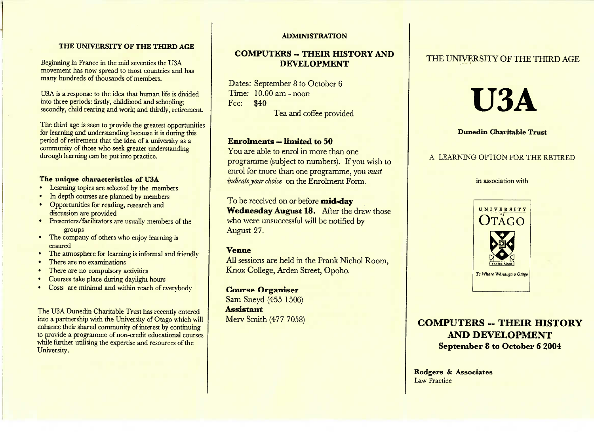## **THE UNIVERSITY OF THE THIRD AGE**

Beginning in France in the mid seventies the USA movement has now spread to most countries and hasmany hundreds of thousands of members.

USA is a response to the idea that human life is divided into three periods: firstly, childhood and schooling;secondly, child rearing and work; and thirdly, retirement.

I he third age is seen to provide the greatest opportunities for learning and understanding because it is during thisperiod of retirement that the idea of a university as a community of those who seek greater understandingthrough learning can be put into practice.

## **The unique characteristics of USA**

- Learning topics are selected by the members
- In depth courses are planned by members
- Opportunities for reading, research anddiscussion are provided
- Presenters/facilitators are usually members of the
- groups The company of others who enjoy learning isensured
- The atmosphere for learning is informal and friendly
- I here are no examinations
- There are no compulsory activities
- Courses take place during daylight hours
- Costs are minimal and within reach of everybody

The USA Dunedin Charitable Trust has recently enterednto a partnership with the University of Otago which will enhance their shared community of interest by continuing to provide a programme of non-credit educational courseswhile further utilising the expertise and resources of theUniversity.

#### **ADMINISTRATION**

## **COMPUTERS - THEIR HISTORY ANDDEVELOPMENT**

Dates: September 8 to October 6 Time: 10.00 am-noon Fee: \$40Tea and coffee provided

## **Enrolments — limited to 50**

 You are able to enrol in more than one programme (subject to numbers). If you wish to enrol for more than one programme, you *mustindicate your choice* on the Enrolment Form.

To be received on or before **mid-day Wednesday August 18.** After the draw those who were unsuccessful will be notified byAugust 27.

## **Venue**

 All sessions are held in the Frank Nichol Room,Knox College, Arden Street, Opoho.

## **Course Organiser**

 Sam Sneyd (455 1506) **Assistant**Merv Smith (477 7058)

# THE UNIVERSITY OF THE THIRD AGE

# **USA**

#### **Dunedin Charitable Trust**

## A LEARNING OPTION FOR THE RETIRED

#### in association with



**COMPUTERS - THEIR HISTORY AND DEVELOPMENTSeptember 8 to October 6 2004**

**Rodgers & Associates**Law Practice